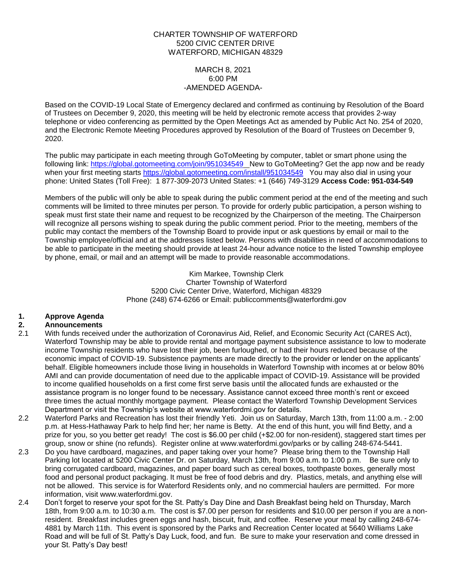#### CHARTER TOWNSHIP OF WATERFORD 5200 CIVIC CENTER DRIVE WATERFORD, MICHIGAN 48329

#### MARCH 8, 2021 6:00 PM -AMENDED AGENDA-

Based on the COVID-19 Local State of Emergency declared and confirmed as continuing by Resolution of the Board of Trustees on December 9, 2020, this meeting will be held by electronic remote access that provides 2-way telephone or video conferencing as permitted by the Open Meetings Act as amended by Public Act No. 254 of 2020, and the Electronic Remote Meeting Procedures approved by Resolution of the Board of Trustees on December 9, 2020.

The public may participate in each meeting through GoToMeeting by computer, tablet or smart phone using the following link: <https://global.gotomeeting.com/join/951034549>New to GoToMeeting? Get the app now and be ready when your first meeting starts <https://global.gotomeeting.com/install/951034549>You may also dial in using your phone: United States (Toll Free): 1 877-309-2073 United States: +1 (646) 749-3129 **Access Code: 951-034-549**

Members of the public will only be able to speak during the public comment period at the end of the meeting and such comments will be limited to three minutes per person. To provide for orderly public participation, a person wishing to speak must first state their name and request to be recognized by the Chairperson of the meeting. The Chairperson will recognize all persons wishing to speak during the public comment period. Prior to the meeting, members of the public may contact the members of the Township Board to provide input or ask questions by email or mail to the Township employee/official and at the addresses listed below. Persons with disabilities in need of accommodations to be able to participate in the meeting should provide at least 24-hour advance notice to the listed Township employee by phone, email, or mail and an attempt will be made to provide reasonable accommodations.

> Kim Markee, Township Clerk Charter Township of Waterford 5200 Civic Center Drive, Waterford, Michigan 48329 Phone (248) 674-6266 or Email: [publiccomments@waterfordmi.gov](mailto:publiccomments@waterfordmi.gov)

# **1. Approve Agenda**

## **2. Announcements**

- 2.1 With funds received under the authorization of Coronavirus Aid, Relief, and Economic Security Act (CARES Act), Waterford Township may be able to provide rental and mortgage payment subsistence assistance to low to moderate income Township residents who have lost their job, been furloughed, or had their hours reduced because of the economic impact of COVID-19. Subsistence payments are made directly to the provider or lender on the applicants' behalf. Eligible homeowners include those living in households in Waterford Township with incomes at or below 80% AMI and can provide documentation of need due to the applicable impact of COVID-19. Assistance will be provided to income qualified households on a first come first serve basis until the allocated funds are exhausted or the assistance program is no longer found to be necessary. Assistance cannot exceed three month's rent or exceed three times the actual monthly mortgage payment. Please contact the Waterford Township Development Services Department or visit the Township's website at www.waterfordmi.gov for details.
- 2.2 Waterford Parks and Recreation has lost their friendly Yeti. Join us on Saturday, March 13th, from 11:00 a.m. 2:00 p.m. at Hess-Hathaway Park to help find her; her name is Betty. At the end of this hunt, you will find Betty, and a prize for you, so you better get ready! The cost is \$6.00 per child (+\$2.00 for non-resident), staggered start times per group, snow or shine (no refunds). Register online at [www.waterfordmi.gov/parks or by calling 248-674-5441.](http://www.waterfordmi.gov/parks%20or%20by%20calling%20248-674-5441)
- 2.3 Do you have cardboard, magazines, and paper taking over your home? Please bring them to the Township Hall Parking lot located at 5200 Civic Center Dr. on Saturday, March 13th, from 9:00 a.m. to 1:00 p.m. Be sure only to bring corrugated cardboard, magazines, and paper board such as cereal boxes, toothpaste boxes, generally most food and personal product packaging. It must be free of food debris and dry. Plastics, metals, and anything else will not be allowed. This service is for Waterford Residents only, and no commercial haulers are permitted. For more information, visit www.waterfordmi.gov.
- 2.4 Don't forget to reserve your spot for the St. Patty's Day Dine and Dash Breakfast being held on Thursday, March 18th, from 9:00 a.m. to 10:30 a.m. The cost is \$7.00 per person for residents and \$10.00 per person if you are a nonresident. Breakfast includes green eggs and hash, biscuit, fruit, and coffee. Reserve your meal by calling 248-674- 4881 by March 11th. This event is sponsored by the Parks and Recreation Center located at 5640 Williams Lake Road and will be full of St. Patty's Day Luck, food, and fun. Be sure to make your reservation and come dressed in your St. Patty's Day best!